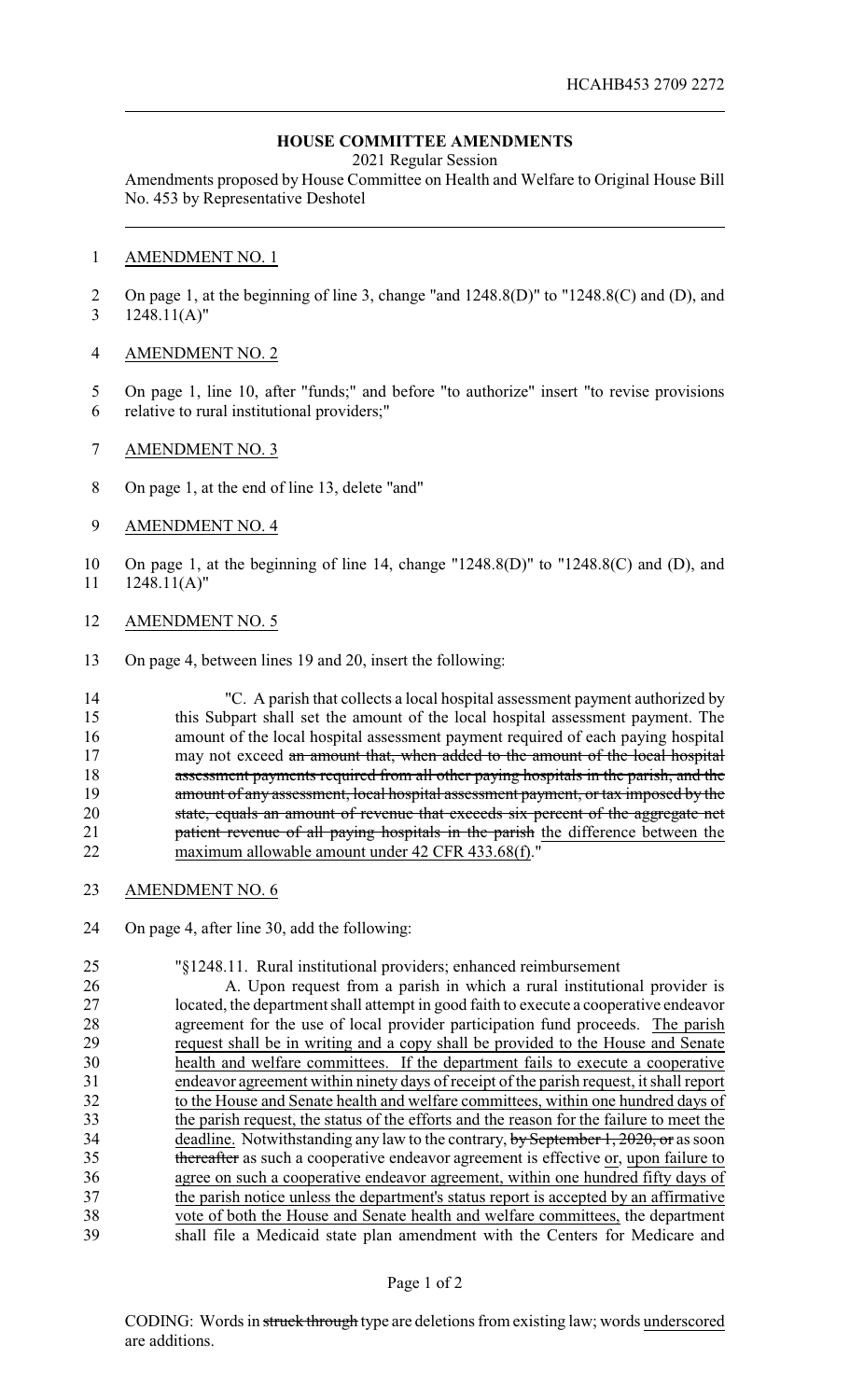## **HOUSE COMMITTEE AMENDMENTS**

2021 Regular Session

Amendments proposed by House Committee on Health and Welfare to Original House Bill No. 453 by Representative Deshotel

## AMENDMENT NO. 1

 On page 1, at the beginning of line 3, change "and 1248.8(D)" to "1248.8(C) and (D), and 1248.11(A)"

## AMENDMENT NO. 2

- On page 1, line 10, after "funds;" and before "to authorize" insert "to revise provisions relative to rural institutional providers;"
- AMENDMENT NO. 3
- On page 1, at the end of line 13, delete "and"
- AMENDMENT NO. 4
- On page 1, at the beginning of line 14, change "1248.8(D)" to "1248.8(C) and (D), and 1248.11(A)"
- AMENDMENT NO. 5
- On page 4, between lines 19 and 20, insert the following:

 "C. A parish that collects a local hospital assessment payment authorized by this Subpart shall set the amount of the local hospital assessment payment. The amount of the local hospital assessment payment required of each paying hospital 17 may not exceed an amount that, when added to the amount of the local hospital 18 assessment payments required from all other paying hospitals in the parish, and the 19 amount of any assessment, local hospital assessment payment, or tax imposed by the state, equals an amount of revenue that exceeds six percent of the aggregate net **patient revenue of all paying hospitals in the parish** the difference between the maximum allowable amount under 42 CFR 433.68(f)."

- AMENDMENT NO. 6
- On page 4, after line 30, add the following:

 "§1248.11. Rural institutional providers; enhanced reimbursement A. Upon request from a parish in which a rural institutional provider is located, the department shall attempt in good faith to execute a cooperative endeavor 28 agreement for the use of local provider participation fund proceeds. The parish request shall be in writing and a copy shall be provided to the House and Senate request shall be in writing and a copy shall be provided to the House and Senate health and welfare committees. If the department fails to execute a cooperative endeavor agreement within ninety days of receipt of the parish request, it shall report to the House and Senate health and welfare committees, within one hundred days of the parish request, the status of the efforts and the reason for the failure to meet the 34 deadline. Notwithstanding any law to the contrary, by September 1, 2020, or as soon 35 thereafter as such a cooperative endeavor agreement is effective or, upon failure to agree on such a cooperative endeavor agreement, within one hundred fifty days of 37 the parish notice unless the department's status report is accepted by an affirmative vote of both the House and Senate health and welfare committees, the department shall file a Medicaid state plan amendment with the Centers for Medicare and